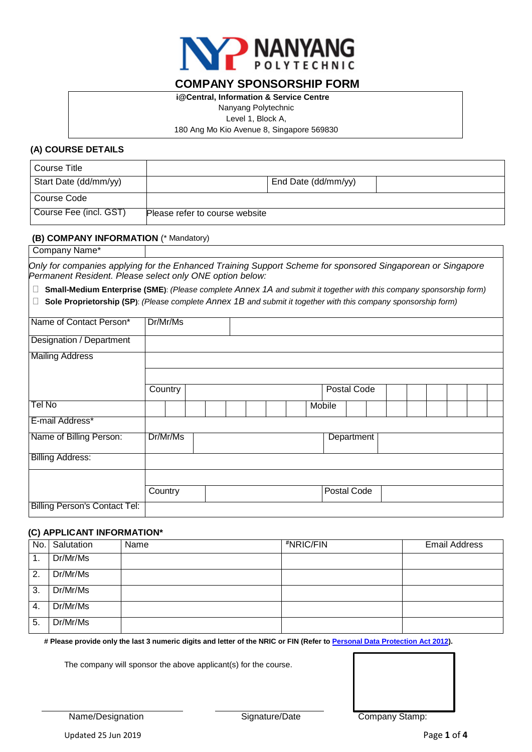

## **COMPANY SPONSORSHIP FORM**

**i@Central, Information & Service Centre**

Nanyang Polytechnic

Level 1, Block A,

180 Ang Mo Kio Avenue 8, Singapore 569830

## **(A) COURSE DETAILS**

| Course Title           |                                |                     |  |
|------------------------|--------------------------------|---------------------|--|
| Start Date (dd/mm/yy)  |                                | End Date (dd/mm/yy) |  |
| Course Code            |                                |                     |  |
| Course Fee (incl. GST) | Please refer to course website |                     |  |

### **(B) COMPANY INFORMATION** (\* Mandatory)

| Company Name*                                                                                                                                                           |          |  |  |        |             |  |  |  |
|-------------------------------------------------------------------------------------------------------------------------------------------------------------------------|----------|--|--|--------|-------------|--|--|--|
| Only for companies applying for the Enhanced Training Support Scheme for sponsored Singaporean or Singapore<br>Permanent Resident. Please select only ONE option below: |          |  |  |        |             |  |  |  |
| Small-Medium Enterprise (SME): (Please complete Annex 1A and submit it together with this company sponsorship form)                                                     |          |  |  |        |             |  |  |  |
| Sole Proprietorship (SP): (Please complete Annex 1B and submit it together with this company sponsorship form)<br>$\Box$                                                |          |  |  |        |             |  |  |  |
| Name of Contact Person*                                                                                                                                                 | Dr/Mr/Ms |  |  |        |             |  |  |  |
| Designation / Department                                                                                                                                                |          |  |  |        |             |  |  |  |
| <b>Mailing Address</b>                                                                                                                                                  |          |  |  |        |             |  |  |  |
|                                                                                                                                                                         |          |  |  |        |             |  |  |  |
|                                                                                                                                                                         | Country  |  |  |        | Postal Code |  |  |  |
|                                                                                                                                                                         |          |  |  |        |             |  |  |  |
| Tel No                                                                                                                                                                  |          |  |  | Mobile |             |  |  |  |
| E-mail Address*                                                                                                                                                         |          |  |  |        |             |  |  |  |
| Name of Billing Person:                                                                                                                                                 | Dr/Mr/Ms |  |  |        | Department  |  |  |  |
| <b>Billing Address:</b>                                                                                                                                                 |          |  |  |        |             |  |  |  |
|                                                                                                                                                                         |          |  |  |        |             |  |  |  |
|                                                                                                                                                                         |          |  |  |        |             |  |  |  |
|                                                                                                                                                                         | Country  |  |  |        | Postal Code |  |  |  |
| <b>Billing Person's Contact Tel:</b>                                                                                                                                    |          |  |  |        |             |  |  |  |

### **(C) APPLICANT INFORMATION\***

|     | No. Salutation | Name | #NRIC/FIN | <b>Email Address</b> |
|-----|----------------|------|-----------|----------------------|
| .1  | Dr/Mr/Ms       |      |           |                      |
| 2.  | Dr/Mr/Ms       |      |           |                      |
| 3   | Dr/Mr/Ms       |      |           |                      |
| -4. | Dr/Mr/Ms       |      |           |                      |
| 5   | Dr/Mr/Ms       |      |           |                      |

**# Please provide only the last 3 numeric digits and letter of the NRIC or FIN (Refer to [Personal Data Protection Act 2012\)](https://www.pdpc.gov.sg/).**

The company will sponsor the above applicant(s) for the course.

l. Name/Designation Signature/Date Company Stamp: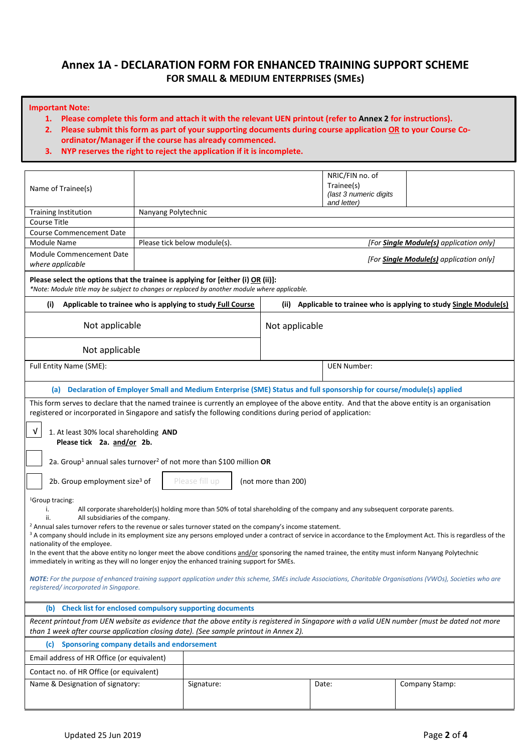## **Annex 1A - DECLARATION FORM FOR ENHANCED TRAINING SUPPORT SCHEME FOR SMALL & MEDIUM ENTERPRISES (SMEs)**

#### **Important Note:**

- **1. Please complete this form and attach it with the relevant UEN printout (refer to Annex 2 for instructions).**
- **2. Please submit this form as part of your supporting documents during course application OR to your Course Coordinator/Manager if the course has already commenced.**
- **3. NYP reserves the right to reject the application if it is incomplete.**

| Name of Trainee(s)                                                                                                                                                                                                                                                                                                                                                                                                                                                                                                                                                                                                                                                                                                                                                                                                                                                                                                                                                                                                         |                                                   |                              |                     | NRIC/FIN no. of<br>Trainee(s)<br>(last 3 numeric digits<br>and letter)                                                 |                                                                      |  |  |  |  |
|----------------------------------------------------------------------------------------------------------------------------------------------------------------------------------------------------------------------------------------------------------------------------------------------------------------------------------------------------------------------------------------------------------------------------------------------------------------------------------------------------------------------------------------------------------------------------------------------------------------------------------------------------------------------------------------------------------------------------------------------------------------------------------------------------------------------------------------------------------------------------------------------------------------------------------------------------------------------------------------------------------------------------|---------------------------------------------------|------------------------------|---------------------|------------------------------------------------------------------------------------------------------------------------|----------------------------------------------------------------------|--|--|--|--|
| <b>Training Institution</b>                                                                                                                                                                                                                                                                                                                                                                                                                                                                                                                                                                                                                                                                                                                                                                                                                                                                                                                                                                                                | Nanyang Polytechnic                               |                              |                     |                                                                                                                        |                                                                      |  |  |  |  |
| <b>Course Title</b>                                                                                                                                                                                                                                                                                                                                                                                                                                                                                                                                                                                                                                                                                                                                                                                                                                                                                                                                                                                                        |                                                   |                              |                     |                                                                                                                        |                                                                      |  |  |  |  |
| <b>Course Commencement Date</b>                                                                                                                                                                                                                                                                                                                                                                                                                                                                                                                                                                                                                                                                                                                                                                                                                                                                                                                                                                                            |                                                   |                              |                     |                                                                                                                        |                                                                      |  |  |  |  |
| Module Name                                                                                                                                                                                                                                                                                                                                                                                                                                                                                                                                                                                                                                                                                                                                                                                                                                                                                                                                                                                                                |                                                   | Please tick below module(s). |                     |                                                                                                                        | [For <b>Single Module(s)</b> application only]                       |  |  |  |  |
| Module Commencement Date<br>[For <b>Single Module(s)</b> application only]<br>where applicable                                                                                                                                                                                                                                                                                                                                                                                                                                                                                                                                                                                                                                                                                                                                                                                                                                                                                                                             |                                                   |                              |                     |                                                                                                                        |                                                                      |  |  |  |  |
| Please select the options that the trainee is applying for [either (i) OR (ii)]:<br>*Note: Module title may be subject to changes or replaced by another module where applicable.                                                                                                                                                                                                                                                                                                                                                                                                                                                                                                                                                                                                                                                                                                                                                                                                                                          |                                                   |                              |                     |                                                                                                                        |                                                                      |  |  |  |  |
| Applicable to trainee who is applying to study Full Course<br>(i)                                                                                                                                                                                                                                                                                                                                                                                                                                                                                                                                                                                                                                                                                                                                                                                                                                                                                                                                                          |                                                   |                              |                     |                                                                                                                        | (ii) Applicable to trainee who is applying to study Single Module(s) |  |  |  |  |
| Not applicable                                                                                                                                                                                                                                                                                                                                                                                                                                                                                                                                                                                                                                                                                                                                                                                                                                                                                                                                                                                                             |                                                   |                              | Not applicable      |                                                                                                                        |                                                                      |  |  |  |  |
| Not applicable                                                                                                                                                                                                                                                                                                                                                                                                                                                                                                                                                                                                                                                                                                                                                                                                                                                                                                                                                                                                             |                                                   |                              |                     |                                                                                                                        |                                                                      |  |  |  |  |
| Full Entity Name (SME):                                                                                                                                                                                                                                                                                                                                                                                                                                                                                                                                                                                                                                                                                                                                                                                                                                                                                                                                                                                                    |                                                   |                              |                     | <b>UEN Number:</b>                                                                                                     |                                                                      |  |  |  |  |
|                                                                                                                                                                                                                                                                                                                                                                                                                                                                                                                                                                                                                                                                                                                                                                                                                                                                                                                                                                                                                            |                                                   |                              |                     | (a) Declaration of Employer Small and Medium Enterprise (SME) Status and full sponsorship for course/module(s) applied |                                                                      |  |  |  |  |
| This form serves to declare that the named trainee is currently an employee of the above entity. And that the above entity is an organisation<br>registered or incorporated in Singapore and satisfy the following conditions during period of application:                                                                                                                                                                                                                                                                                                                                                                                                                                                                                                                                                                                                                                                                                                                                                                |                                                   |                              |                     |                                                                                                                        |                                                                      |  |  |  |  |
| V<br>1. At least 30% local shareholding AND<br>Please tick 2a. and/or 2b.                                                                                                                                                                                                                                                                                                                                                                                                                                                                                                                                                                                                                                                                                                                                                                                                                                                                                                                                                  |                                                   |                              |                     |                                                                                                                        |                                                                      |  |  |  |  |
| 2a. Group <sup>1</sup> annual sales turnover <sup>2</sup> of not more than \$100 million OR                                                                                                                                                                                                                                                                                                                                                                                                                                                                                                                                                                                                                                                                                                                                                                                                                                                                                                                                |                                                   |                              |                     |                                                                                                                        |                                                                      |  |  |  |  |
| 2b. Group employment size <sup>3</sup> of                                                                                                                                                                                                                                                                                                                                                                                                                                                                                                                                                                                                                                                                                                                                                                                                                                                                                                                                                                                  |                                                   | Please fill up               | (not more than 200) |                                                                                                                        |                                                                      |  |  |  |  |
| <sup>1</sup> Group tracing:<br>i.<br>All corporate shareholder(s) holding more than 50% of total shareholding of the company and any subsequent corporate parents.<br>All subsidiaries of the company.<br>ii.<br><sup>2</sup> Annual sales turnover refers to the revenue or sales turnover stated on the company's income statement.<br><sup>3</sup> A company should include in its employment size any persons employed under a contract of service in accordance to the Employment Act. This is regardless of the<br>nationality of the employee.<br>In the event that the above entity no longer meet the above conditions and/or sponsoring the named trainee, the entity must inform Nanyang Polytechnic<br>immediately in writing as they will no longer enjoy the enhanced training support for SMEs.<br>NOTE: For the purpose of enhanced training support application under this scheme, SMEs include Associations, Charitable Organisations (VWOs), Societies who are<br>registered/incorporated in Singapore. |                                                   |                              |                     |                                                                                                                        |                                                                      |  |  |  |  |
| (b) Check list for enclosed compulsory supporting documents                                                                                                                                                                                                                                                                                                                                                                                                                                                                                                                                                                                                                                                                                                                                                                                                                                                                                                                                                                |                                                   |                              |                     |                                                                                                                        |                                                                      |  |  |  |  |
| Recent printout from UEN website as evidence that the above entity is registered in Singapore with a valid UEN number (must be dated not more<br>than 1 week after course application closing date). (See sample printout in Annex 2).                                                                                                                                                                                                                                                                                                                                                                                                                                                                                                                                                                                                                                                                                                                                                                                     |                                                   |                              |                     |                                                                                                                        |                                                                      |  |  |  |  |
| (c)                                                                                                                                                                                                                                                                                                                                                                                                                                                                                                                                                                                                                                                                                                                                                                                                                                                                                                                                                                                                                        | <b>Sponsoring company details and endorsement</b> |                              |                     |                                                                                                                        |                                                                      |  |  |  |  |
| Email address of HR Office (or equivalent)                                                                                                                                                                                                                                                                                                                                                                                                                                                                                                                                                                                                                                                                                                                                                                                                                                                                                                                                                                                 |                                                   |                              |                     |                                                                                                                        |                                                                      |  |  |  |  |
| Contact no. of HR Office (or equivalent)                                                                                                                                                                                                                                                                                                                                                                                                                                                                                                                                                                                                                                                                                                                                                                                                                                                                                                                                                                                   |                                                   |                              |                     |                                                                                                                        |                                                                      |  |  |  |  |
| Name & Designation of signatory:                                                                                                                                                                                                                                                                                                                                                                                                                                                                                                                                                                                                                                                                                                                                                                                                                                                                                                                                                                                           |                                                   | Signature:                   |                     | Date:                                                                                                                  | Company Stamp:                                                       |  |  |  |  |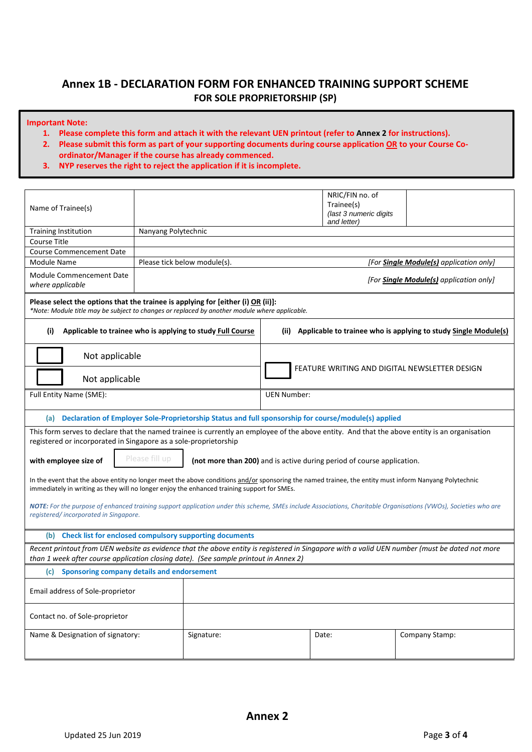# **Annex 1B - DECLARATION FORM FOR ENHANCED TRAINING SUPPORT SCHEME FOR SOLE PROPRIETORSHIP (SP)**

#### **Important Note:**

- **1. Please complete this form and attach it with the relevant UEN printout (refer to Annex 2 for instructions).**
- **2. Please submit this form as part of your supporting documents during course application OR to your Course Coordinator/Manager if the course has already commenced.**
- **3. NYP reserves the right to reject the application if it is incomplete.**

|                                                                                                                                                                                                                                       |                                                                                                                                                                                                                                                       |                         | NRIC/FIN no. of                                                        |                                                                 |  |  |  |  |  |
|---------------------------------------------------------------------------------------------------------------------------------------------------------------------------------------------------------------------------------------|-------------------------------------------------------------------------------------------------------------------------------------------------------------------------------------------------------------------------------------------------------|-------------------------|------------------------------------------------------------------------|-----------------------------------------------------------------|--|--|--|--|--|
| Name of Trainee(s)                                                                                                                                                                                                                    |                                                                                                                                                                                                                                                       |                         | Trainee(s)<br>(last 3 numeric digits                                   |                                                                 |  |  |  |  |  |
|                                                                                                                                                                                                                                       |                                                                                                                                                                                                                                                       |                         | and letter)                                                            |                                                                 |  |  |  |  |  |
| <b>Training Institution</b>                                                                                                                                                                                                           | Nanyang Polytechnic                                                                                                                                                                                                                                   |                         |                                                                        |                                                                 |  |  |  |  |  |
| Course Title                                                                                                                                                                                                                          |                                                                                                                                                                                                                                                       |                         |                                                                        |                                                                 |  |  |  |  |  |
| <b>Course Commencement Date</b>                                                                                                                                                                                                       |                                                                                                                                                                                                                                                       |                         |                                                                        |                                                                 |  |  |  |  |  |
| Module Name                                                                                                                                                                                                                           | Please tick below module(s).                                                                                                                                                                                                                          |                         |                                                                        | [For <b>Single Module(s)</b> application only]                  |  |  |  |  |  |
| Module Commencement Date<br>[For <b>Single Module(s)</b> application only]<br>where applicable                                                                                                                                        |                                                                                                                                                                                                                                                       |                         |                                                                        |                                                                 |  |  |  |  |  |
|                                                                                                                                                                                                                                       | Please select the options that the trainee is applying for [either (i) OR (ii)]:<br>*Note: Module title may be subject to changes or replaced by another module where applicable.                                                                     |                         |                                                                        |                                                                 |  |  |  |  |  |
| (i)                                                                                                                                                                                                                                   | Applicable to trainee who is applying to study Full Course                                                                                                                                                                                            | (ii)                    |                                                                        | Applicable to trainee who is applying to study Single Module(s) |  |  |  |  |  |
| Not applicable                                                                                                                                                                                                                        |                                                                                                                                                                                                                                                       |                         |                                                                        |                                                                 |  |  |  |  |  |
| Not applicable                                                                                                                                                                                                                        |                                                                                                                                                                                                                                                       |                         |                                                                        | FEATURE WRITING AND DIGITAL NEWSLETTER DESIGN                   |  |  |  |  |  |
| Full Entity Name (SME):<br><b>UEN Number:</b>                                                                                                                                                                                         |                                                                                                                                                                                                                                                       |                         |                                                                        |                                                                 |  |  |  |  |  |
|                                                                                                                                                                                                                                       | (a) Declaration of Employer Sole-Proprietorship Status and full sponsorship for course/module(s) applied                                                                                                                                              |                         |                                                                        |                                                                 |  |  |  |  |  |
| registered or incorporated in Singapore as a sole-proprietorship                                                                                                                                                                      | This form serves to declare that the named trainee is currently an employee of the above entity. And that the above entity is an organisation                                                                                                         |                         |                                                                        |                                                                 |  |  |  |  |  |
| with employee size of                                                                                                                                                                                                                 | Please fill up                                                                                                                                                                                                                                        |                         | (not more than 200) and is active during period of course application. |                                                                 |  |  |  |  |  |
|                                                                                                                                                                                                                                       | In the event that the above entity no longer meet the above conditions and/or sponsoring the named trainee, the entity must inform Nanyang Polytechnic<br>immediately in writing as they will no longer enjoy the enhanced training support for SMEs. |                         |                                                                        |                                                                 |  |  |  |  |  |
| registered/incorporated in Singapore.                                                                                                                                                                                                 | NOTE: For the purpose of enhanced training support application under this scheme, SMEs include Associations, Charitable Organisations (VWOs), Societies who are                                                                                       |                         |                                                                        |                                                                 |  |  |  |  |  |
|                                                                                                                                                                                                                                       |                                                                                                                                                                                                                                                       |                         |                                                                        |                                                                 |  |  |  |  |  |
|                                                                                                                                                                                                                                       | (b) Check list for enclosed compulsory supporting documents                                                                                                                                                                                           |                         |                                                                        |                                                                 |  |  |  |  |  |
| Recent printout from UEN website as evidence that the above entity is registered in Singapore with a valid UEN number (must be dated not more<br>than 1 week after course application closing date). (See sample printout in Annex 2) |                                                                                                                                                                                                                                                       |                         |                                                                        |                                                                 |  |  |  |  |  |
| Sponsoring company details and endorsement<br>(c) =                                                                                                                                                                                   |                                                                                                                                                                                                                                                       |                         |                                                                        |                                                                 |  |  |  |  |  |
| Email address of Sole-proprietor                                                                                                                                                                                                      |                                                                                                                                                                                                                                                       |                         |                                                                        |                                                                 |  |  |  |  |  |
| Contact no. of Sole-proprietor                                                                                                                                                                                                        |                                                                                                                                                                                                                                                       |                         |                                                                        |                                                                 |  |  |  |  |  |
| Name & Designation of signatory:                                                                                                                                                                                                      | Signature:                                                                                                                                                                                                                                            | Company Stamp:<br>Date: |                                                                        |                                                                 |  |  |  |  |  |